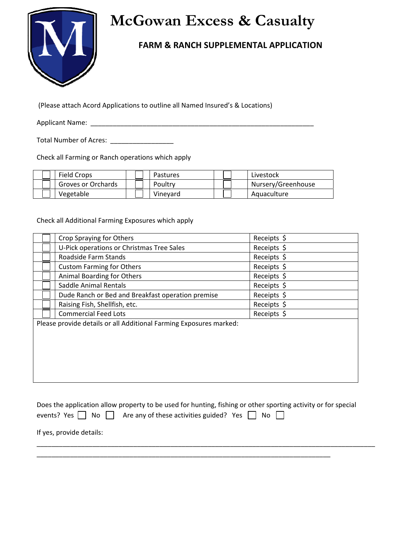

## **McGowan Excess & Casualty**

## **FARM & RANCH SUPPLEMENTAL APPLICATION**

(Please attach Acord Applications to outline all Named Insured's & Locations)

Applicant Name: \_\_\_\_\_\_\_\_\_\_\_\_\_\_\_\_\_\_\_\_\_\_\_\_\_\_\_\_\_\_\_\_\_\_\_\_\_\_\_\_\_\_\_\_\_\_\_\_\_\_\_\_\_\_\_\_\_\_\_\_

Total Number of Acres: \_\_\_\_\_\_\_\_\_\_\_\_\_\_\_\_\_\_\_\_

Check all Farming or Ranch operations which apply

| Field Crops        | Pastures | Livestock          |
|--------------------|----------|--------------------|
| Groves or Orchards | Poultry  | Nursery/Greenhouse |
| Vegetable          | Vinevard | Aquaculture        |

Check all Additional Farming Exposures which apply

| Crop Spraying for Others                                           | Receipts $\oint$ |
|--------------------------------------------------------------------|------------------|
| U-Pick operations or Christmas Tree Sales                          | Receipts $\oint$ |
| Roadside Farm Stands                                               | Receipts \$      |
| <b>Custom Farming for Others</b>                                   | Receipts \$      |
| Animal Boarding for Others                                         | Receipts \$      |
| Saddle Animal Rentals                                              | Receipts \$      |
| Dude Ranch or Bed and Breakfast operation premise                  | Receipts \$      |
| Raising Fish, Shellfish, etc.                                      | Receipts \$      |
| <b>Commercial Feed Lots</b>                                        | Receipts \$      |
| Please provide details or all Additional Farming Exposures marked: |                  |
|                                                                    |                  |
|                                                                    |                  |
|                                                                    |                  |
|                                                                    |                  |
|                                                                    |                  |
|                                                                    |                  |

Does the application allow property to be used for hunting, fishing or other sporting activity or for special events? Yes  $\Box$  No  $\Box$  Are any of these activities guided? Yes  $\Box$  No  $\Box$ 

\_\_\_\_\_\_\_\_\_\_\_\_\_\_\_\_\_\_\_\_\_\_\_\_\_\_\_\_\_\_\_\_\_\_\_\_\_\_\_\_\_\_\_\_\_\_\_\_\_\_\_\_\_\_\_\_\_\_\_\_\_\_\_\_\_\_\_\_\_\_\_\_\_\_\_\_\_\_\_

\_\_\_\_\_\_\_\_\_\_\_\_\_\_\_\_\_\_\_\_\_\_\_\_\_\_\_\_\_\_\_\_\_\_\_\_\_\_\_\_\_\_\_\_\_\_\_\_\_\_\_\_\_\_\_\_\_\_\_\_\_\_\_\_\_\_\_\_\_\_\_\_\_\_\_\_\_\_\_\_\_\_\_\_\_\_\_\_\_\_\_

If yes, provide details: